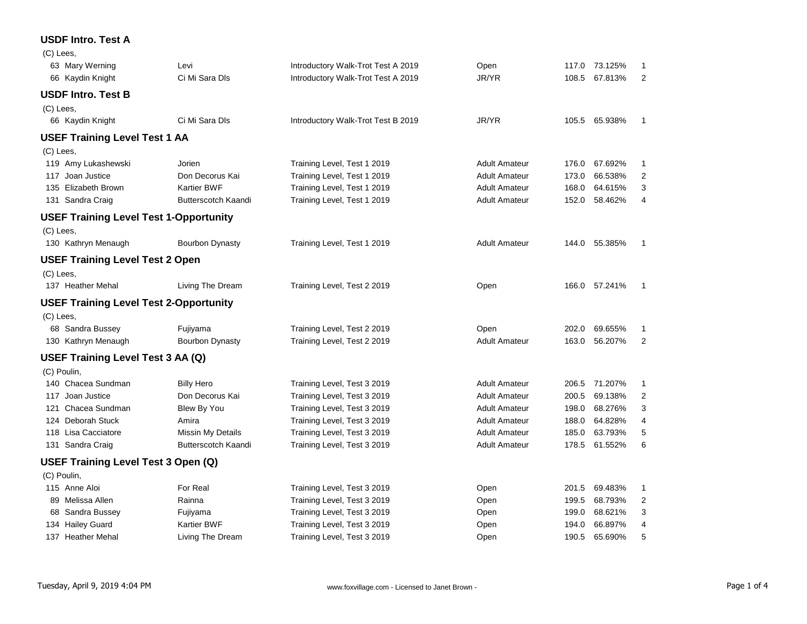### **USDF Intro. Test A**

(C) Lees,

|             | 63 Mary Werning                               | Levi                     | Introductory Walk-Trot Test A 2019 | Open                 |       | 117.0 73.125% | 1              |
|-------------|-----------------------------------------------|--------------------------|------------------------------------|----------------------|-------|---------------|----------------|
|             | 66 Kaydin Knight                              | Ci Mi Sara DIs           | Introductory Walk-Trot Test A 2019 | JR/YR                |       | 108.5 67.813% | 2              |
|             | <b>USDF Intro. Test B</b>                     |                          |                                    |                      |       |               |                |
| (C) Lees,   |                                               |                          |                                    |                      |       |               |                |
|             | 66 Kaydin Knight                              | Ci Mi Sara Dls           | Introductory Walk-Trot Test B 2019 | JR/YR                |       | 105.5 65.938% | -1             |
|             | <b>USEF Training Level Test 1 AA</b>          |                          |                                    |                      |       |               |                |
| (C) Lees,   |                                               |                          |                                    |                      |       |               |                |
|             | 119 Amy Lukashewski                           | Jorien                   | Training Level, Test 1 2019        | <b>Adult Amateur</b> | 176.0 | 67.692%       | 1              |
|             | 117 Joan Justice                              | Don Decorus Kai          | Training Level, Test 1 2019        | <b>Adult Amateur</b> | 173.0 | 66.538%       | 2              |
|             | 135 Elizabeth Brown                           | Kartier BWF              | Training Level, Test 1 2019        | <b>Adult Amateur</b> | 168.0 | 64.615%       | 3              |
|             | 131 Sandra Craig                              | Butterscotch Kaandi      | Training Level, Test 1 2019        | <b>Adult Amateur</b> | 152.0 | 58.462%       | 4              |
|             | <b>USEF Training Level Test 1-Opportunity</b> |                          |                                    |                      |       |               |                |
| (C) Lees,   |                                               |                          |                                    |                      |       |               |                |
|             | 130 Kathryn Menaugh                           | <b>Bourbon Dynasty</b>   | Training Level, Test 1 2019        | <b>Adult Amateur</b> |       | 144.0 55.385% | $\overline{1}$ |
|             | <b>USEF Training Level Test 2 Open</b>        |                          |                                    |                      |       |               |                |
| (C) Lees,   |                                               |                          |                                    |                      |       |               |                |
|             | 137 Heather Mehal                             | Living The Dream         | Training Level, Test 2 2019        | Open                 |       | 166.0 57.241% | $\mathbf{1}$   |
|             | <b>USEF Training Level Test 2-Opportunity</b> |                          |                                    |                      |       |               |                |
| (C) Lees,   |                                               |                          |                                    |                      |       |               |                |
|             | 68 Sandra Bussey                              | Fujiyama                 | Training Level, Test 2 2019        | Open                 | 202.0 | 69.655%       | -1             |
|             | 130 Kathryn Menaugh                           | Bourbon Dynasty          | Training Level, Test 2 2019        | <b>Adult Amateur</b> | 163.0 | 56.207%       | $\overline{2}$ |
|             | <b>USEF Training Level Test 3 AA (Q)</b>      |                          |                                    |                      |       |               |                |
| (C) Poulin, |                                               |                          |                                    |                      |       |               |                |
|             | 140 Chacea Sundman                            | <b>Billy Hero</b>        | Training Level, Test 3 2019        | <b>Adult Amateur</b> |       | 206.5 71.207% | $\mathbf{1}$   |
|             | 117 Joan Justice                              | Don Decorus Kai          | Training Level, Test 3 2019        | <b>Adult Amateur</b> | 200.5 | 69.138%       | 2              |
|             | 121 Chacea Sundman                            | Blew By You              | Training Level, Test 3 2019        | <b>Adult Amateur</b> | 198.0 | 68.276%       | 3              |
|             | 124 Deborah Stuck                             | Amira                    | Training Level, Test 3 2019        | <b>Adult Amateur</b> | 188.0 | 64.828%       | 4              |
|             | 118 Lisa Cacciatore                           | <b>Missin My Details</b> | Training Level, Test 3 2019        | <b>Adult Amateur</b> | 185.0 | 63.793%       | 5              |
|             | 131 Sandra Craig                              | Butterscotch Kaandi      | Training Level, Test 3 2019        | <b>Adult Amateur</b> | 178.5 | 61.552%       | 6              |
|             | USEF Training Level Test 3 Open (Q)           |                          |                                    |                      |       |               |                |
| (C) Poulin, |                                               |                          |                                    |                      |       |               |                |
|             | 115 Anne Aloi                                 | For Real                 | Training Level, Test 3 2019        | Open                 | 201.5 | 69.483%       | $\mathbf{1}$   |
|             | 89 Melissa Allen                              | Rainna                   | Training Level, Test 3 2019        | Open                 | 199.5 | 68.793%       | 2              |
|             | 68 Sandra Bussey                              | Fujiyama                 | Training Level, Test 3 2019        | Open                 | 199.0 | 68.621%       | 3              |
|             | 134 Hailey Guard                              | Kartier BWF              | Training Level, Test 3 2019        | Open                 | 194.0 | 66.897%       | 4              |
|             | 137 Heather Mehal                             | Living The Dream         | Training Level, Test 3 2019        | Open                 | 190.5 | 65.690%       | 5              |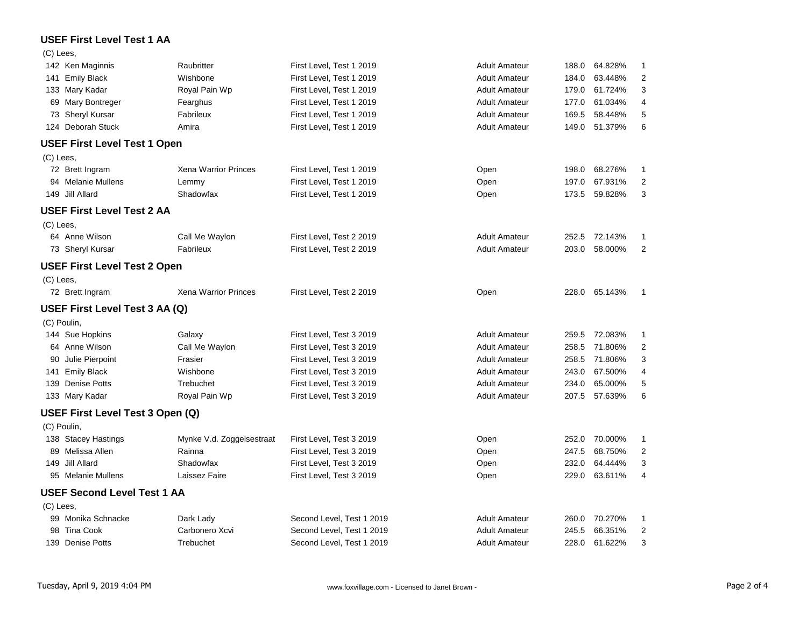## **USEF First Level Test 1 AA**

#### $(C)$  Lees

| 142 Ken Maginnis                    | Raubritter                  | First Level, Test 1 2019  | <b>Adult Amateur</b> | 188.0 | 64.828%       | 1                       |
|-------------------------------------|-----------------------------|---------------------------|----------------------|-------|---------------|-------------------------|
| 141 Emily Black                     | Wishbone                    | First Level, Test 1 2019  | <b>Adult Amateur</b> | 184.0 | 63.448%       | 2                       |
| 133 Mary Kadar                      | Royal Pain Wp               | First Level, Test 1 2019  | <b>Adult Amateur</b> | 179.0 | 61.724%       | 3                       |
| 69 Mary Bontreger                   | Fearghus                    | First Level, Test 1 2019  | <b>Adult Amateur</b> | 177.0 | 61.034%       | 4                       |
| 73 Sheryl Kursar                    | Fabrileux                   | First Level, Test 1 2019  | <b>Adult Amateur</b> | 169.5 | 58.448%       | 5                       |
| 124 Deborah Stuck                   | Amira                       | First Level, Test 1 2019  | <b>Adult Amateur</b> | 149.0 | 51.379%       | 6                       |
| <b>USEF First Level Test 1 Open</b> |                             |                           |                      |       |               |                         |
| (C) Lees,                           |                             |                           |                      |       |               |                         |
| 72 Brett Ingram                     | <b>Xena Warrior Princes</b> | First Level, Test 1 2019  | Open                 | 198.0 | 68.276%       | 1                       |
| 94 Melanie Mullens                  | Lemmy                       | First Level, Test 1 2019  | Open                 | 197.0 | 67.931%       | $\overline{2}$          |
| 149 Jill Allard                     | Shadowfax                   | First Level, Test 1 2019  | Open                 | 173.5 | 59.828%       | 3                       |
| <b>USEF First Level Test 2 AA</b>   |                             |                           |                      |       |               |                         |
| (C) Lees,                           |                             |                           |                      |       |               |                         |
| 64 Anne Wilson                      | Call Me Waylon              | First Level, Test 2 2019  | <b>Adult Amateur</b> |       | 252.5 72.143% | 1                       |
| 73 Sheryl Kursar                    | Fabrileux                   | First Level, Test 2 2019  | <b>Adult Amateur</b> | 203.0 | 58.000%       | $\overline{2}$          |
| <b>USEF First Level Test 2 Open</b> |                             |                           |                      |       |               |                         |
| (C) Lees,                           |                             |                           |                      |       |               |                         |
| 72 Brett Ingram                     | <b>Xena Warrior Princes</b> | First Level, Test 2 2019  | Open                 | 228.0 | 65.143%       | $\overline{1}$          |
| USEF First Level Test 3 AA (Q)      |                             |                           |                      |       |               |                         |
| (C) Poulin,                         |                             |                           |                      |       |               |                         |
| 144 Sue Hopkins                     | Galaxy                      | First Level, Test 3 2019  | <b>Adult Amateur</b> |       | 259.5 72.083% | 1                       |
| 64 Anne Wilson                      | Call Me Waylon              | First Level, Test 3 2019  | <b>Adult Amateur</b> | 258.5 | 71.806%       | $\overline{c}$          |
| 90 Julie Pierpoint                  | Frasier                     | First Level, Test 3 2019  | <b>Adult Amateur</b> | 258.5 | 71.806%       | 3                       |
| 141 Emily Black                     | Wishbone                    | First Level, Test 3 2019  | <b>Adult Amateur</b> | 243.0 | 67.500%       | 4                       |
| 139 Denise Potts                    | Trebuchet                   | First Level, Test 3 2019  | <b>Adult Amateur</b> | 234.0 | 65.000%       | 5                       |
| 133 Mary Kadar                      | Royal Pain Wp               | First Level, Test 3 2019  | <b>Adult Amateur</b> | 207.5 | 57.639%       | 6                       |
| USEF First Level Test 3 Open (Q)    |                             |                           |                      |       |               |                         |
| (C) Poulin,                         |                             |                           |                      |       |               |                         |
| 138 Stacey Hastings                 | Mynke V.d. Zoggelsestraat   | First Level, Test 3 2019  | Open                 | 252.0 | 70.000%       | 1                       |
| 89 Melissa Allen                    | Rainna                      | First Level, Test 3 2019  | Open                 | 247.5 | 68.750%       | $\overline{\mathbf{c}}$ |
| 149<br>Jill Allard                  | Shadowfax                   | First Level, Test 3 2019  | Open                 | 232.0 | 64.444%       | 3                       |
| 95 Melanie Mullens                  | Laissez Faire               | First Level, Test 3 2019  | Open                 | 229.0 | 63.611%       | 4                       |
| <b>USEF Second Level Test 1 AA</b>  |                             |                           |                      |       |               |                         |
| (C) Lees,                           |                             |                           |                      |       |               |                         |
| 99 Monika Schnacke                  | Dark Lady                   | Second Level, Test 1 2019 | <b>Adult Amateur</b> | 260.0 | 70.270%       | 1                       |
| <b>Tina Cook</b><br>98              | Carbonero Xcvi              | Second Level, Test 1 2019 | <b>Adult Amateur</b> | 245.5 | 66.351%       | $\overline{\mathbf{c}}$ |
| 139 Denise Potts                    | Trebuchet                   | Second Level, Test 1 2019 | <b>Adult Amateur</b> | 228.0 | 61.622%       | 3                       |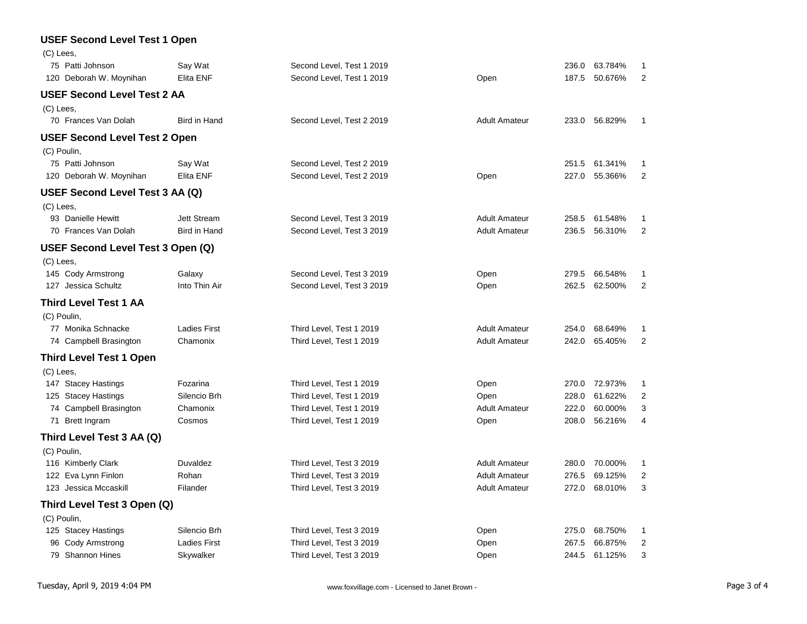# **USEF Second Level Test 1 Open**

| (C) Lees,                            |                     |                           |                      |       |         |                |
|--------------------------------------|---------------------|---------------------------|----------------------|-------|---------|----------------|
| 75 Patti Johnson                     | Say Wat             | Second Level, Test 1 2019 |                      | 236.0 | 63.784% | 1              |
| 120 Deborah W. Moynihan              | Elita ENF           | Second Level, Test 1 2019 | Open                 | 187.5 | 50.676% | $\overline{2}$ |
| <b>USEF Second Level Test 2 AA</b>   |                     |                           |                      |       |         |                |
| (C) Lees,                            |                     |                           |                      |       |         |                |
| 70 Frances Van Dolah                 | <b>Bird in Hand</b> | Second Level, Test 2 2019 | <b>Adult Amateur</b> | 233.0 | 56.829% | 1              |
| <b>USEF Second Level Test 2 Open</b> |                     |                           |                      |       |         |                |
| (C) Poulin,                          |                     |                           |                      |       |         |                |
| 75 Patti Johnson                     | Say Wat             | Second Level, Test 2 2019 |                      | 251.5 | 61.341% | 1              |
| 120 Deborah W. Moynihan              | Elita ENF           | Second Level, Test 2 2019 | Open                 | 227.0 | 55.366% | 2              |
| USEF Second Level Test 3 AA (Q)      |                     |                           |                      |       |         |                |
| (C) Lees,                            |                     |                           |                      |       |         |                |
| 93 Danielle Hewitt                   | <b>Jett Stream</b>  | Second Level, Test 3 2019 | <b>Adult Amateur</b> | 258.5 | 61.548% | 1              |
| 70 Frances Van Dolah                 | Bird in Hand        | Second Level, Test 3 2019 | <b>Adult Amateur</b> | 236.5 | 56.310% | 2              |
| USEF Second Level Test 3 Open (Q)    |                     |                           |                      |       |         |                |
| (C) Lees,                            |                     |                           |                      |       |         |                |
| 145 Cody Armstrong                   | Galaxy              | Second Level, Test 3 2019 | Open                 | 279.5 | 66.548% | 1              |
| 127 Jessica Schultz                  | Into Thin Air       | Second Level, Test 3 2019 | Open                 | 262.5 | 62.500% | $\overline{2}$ |
| <b>Third Level Test 1 AA</b>         |                     |                           |                      |       |         |                |
| (C) Poulin,                          |                     |                           |                      |       |         |                |
| 77 Monika Schnacke                   | <b>Ladies First</b> | Third Level, Test 1 2019  | <b>Adult Amateur</b> | 254.0 | 68.649% | 1              |
| 74 Campbell Brasington               | Chamonix            | Third Level, Test 1 2019  | <b>Adult Amateur</b> | 242.0 | 65.405% | $\overline{2}$ |
| <b>Third Level Test 1 Open</b>       |                     |                           |                      |       |         |                |
| (C) Lees,                            |                     |                           |                      |       |         |                |
| 147 Stacey Hastings                  | Fozarina            | Third Level, Test 1 2019  | Open                 | 270.0 | 72.973% | 1              |
| 125 Stacey Hastings                  | Silencio Brh        | Third Level, Test 1 2019  | Open                 | 228.0 | 61.622% | $\overline{c}$ |
| 74 Campbell Brasington               | Chamonix            | Third Level, Test 1 2019  | <b>Adult Amateur</b> | 222.0 | 60.000% | 3              |
| 71 Brett Ingram                      | Cosmos              | Third Level, Test 1 2019  | Open                 | 208.0 | 56.216% | 4              |
| Third Level Test 3 AA (Q)            |                     |                           |                      |       |         |                |
| (C) Poulin,                          |                     |                           |                      |       |         |                |
| 116 Kimberly Clark                   | Duvaldez            | Third Level, Test 3 2019  | <b>Adult Amateur</b> | 280.0 | 70.000% | 1              |
| 122 Eva Lynn Finlon                  | Rohan               | Third Level, Test 3 2019  | <b>Adult Amateur</b> | 276.5 | 69.125% | $\overline{c}$ |
| 123 Jessica Mccaskill                | Filander            | Third Level, Test 3 2019  | <b>Adult Amateur</b> | 272.0 | 68.010% | 3              |
| Third Level Test 3 Open (Q)          |                     |                           |                      |       |         |                |
| (C) Poulin,                          |                     |                           |                      |       |         |                |
| 125 Stacey Hastings                  | Silencio Brh        | Third Level, Test 3 2019  | Open                 | 275.0 | 68.750% | 1              |
| 96 Cody Armstrong                    | <b>Ladies First</b> | Third Level, Test 3 2019  | Open                 | 267.5 | 66.875% | $\overline{2}$ |
| 79 Shannon Hines                     | Skywalker           | Third Level, Test 3 2019  | Open                 | 244.5 | 61.125% | 3              |